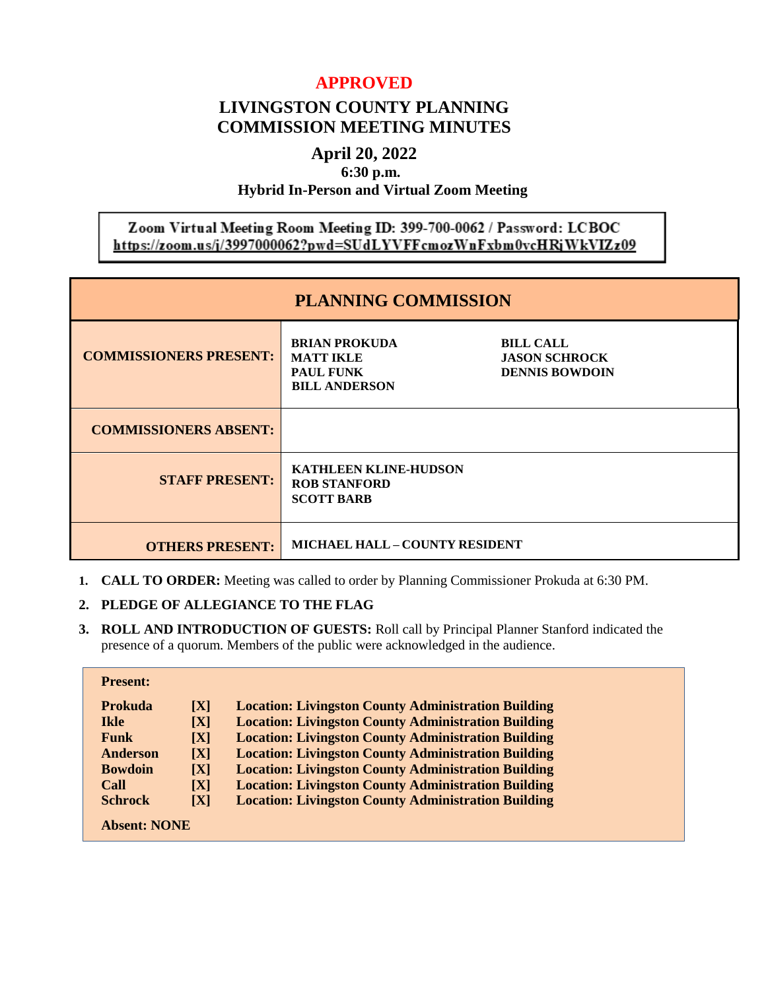# **APPROVED**

# **LIVINGSTON COUNTY PLANNING COMMISSION MEETING MINUTES**

# **April 20, 2022**

**6:30 p.m.**

## **Hybrid In-Person and Virtual Zoom Meeting**

# Zoom Virtual Meeting Room Meeting ID: 399-700-0062 / Password: LCBOC https://zoom.us/j/3997000062?pwd=SUdLYVFFcmozWnFxbm0vcHRjWkVIZz09

| <b>PLANNING COMMISSION</b>    |                                                                                      |                                                                   |  |  |
|-------------------------------|--------------------------------------------------------------------------------------|-------------------------------------------------------------------|--|--|
| <b>COMMISSIONERS PRESENT:</b> | <b>BRIAN PROKUDA</b><br><b>MATT IKLE</b><br><b>PAUL FUNK</b><br><b>BILL ANDERSON</b> | <b>BILL CALL</b><br><b>JASON SCHROCK</b><br><b>DENNIS BOWDOIN</b> |  |  |
| <b>COMMISSIONERS ABSENT:</b>  |                                                                                      |                                                                   |  |  |
| <b>STAFF PRESENT:</b>         | <b>KATHLEEN KLINE-HUDSON</b><br><b>ROB STANFORD</b><br><b>SCOTT BARB</b>             |                                                                   |  |  |
| <b>OTHERS PRESENT:</b>        | <b>MICHAEL HALL - COUNTY RESIDENT</b>                                                |                                                                   |  |  |

**1. CALL TO ORDER:** Meeting was called to order by Planning Commissioner Prokuda at 6:30 PM.

## **2. PLEDGE OF ALLEGIANCE TO THE FLAG**

**3. ROLL AND INTRODUCTION OF GUESTS:** Roll call by Principal Planner Stanford indicated the presence of a quorum. Members of the public were acknowledged in the audience.

| <b>Present:</b>     |                |                                                            |
|---------------------|----------------|------------------------------------------------------------|
| <b>Prokuda</b>      | $\mathbf{[X]}$ | <b>Location: Livingston County Administration Building</b> |
| <b>Ikle</b>         | [X]            | <b>Location: Livingston County Administration Building</b> |
| <b>Funk</b>         | [X]            | <b>Location: Livingston County Administration Building</b> |
| Anderson            | [X]            | <b>Location: Livingston County Administration Building</b> |
| <b>Bowdoin</b>      | [X]            | <b>Location: Livingston County Administration Building</b> |
| Call                | [X]            | <b>Location: Livingston County Administration Building</b> |
| <b>Schrock</b>      | [X]            | <b>Location: Livingston County Administration Building</b> |
| <b>Absent: NONE</b> |                |                                                            |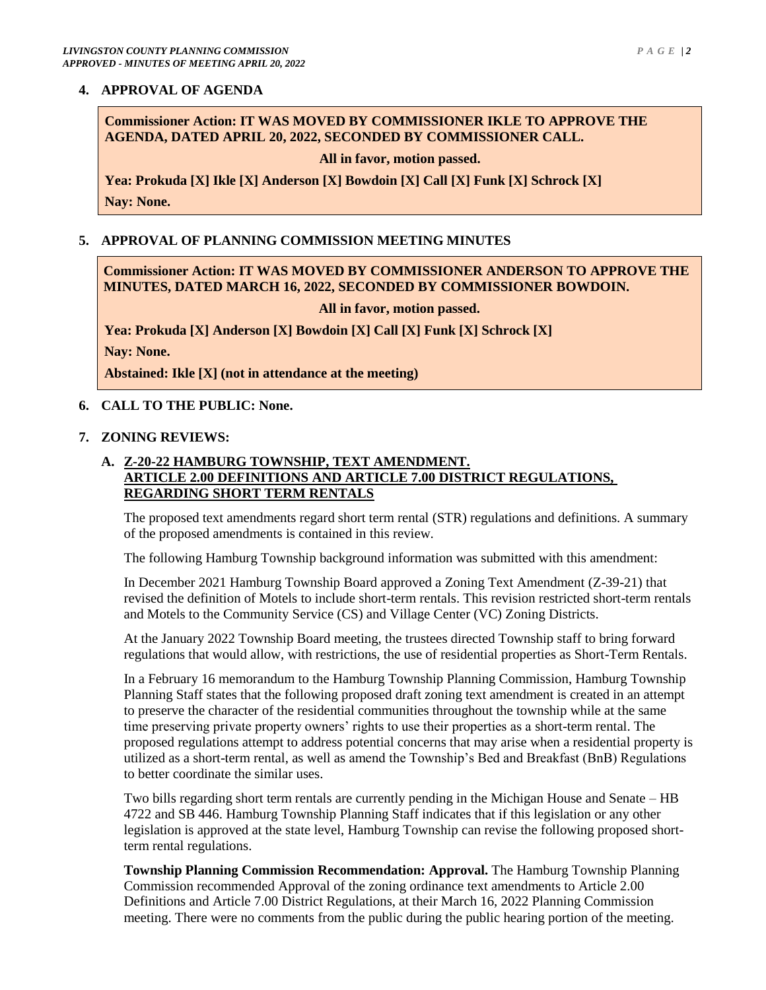## **4. APPROVAL OF AGENDA**

**Commissioner Action: IT WAS MOVED BY COMMISSIONER IKLE TO APPROVE THE AGENDA, DATED APRIL 20, 2022, SECONDED BY COMMISSIONER CALL.** 

**All in favor, motion passed.**

**Yea: Prokuda [X] Ikle [X] Anderson [X] Bowdoin [X] Call [X] Funk [X] Schrock [X] Nay: None.**

#### **5. APPROVAL OF PLANNING COMMISSION MEETING MINUTES**

**Commissioner Action: IT WAS MOVED BY COMMISSIONER ANDERSON TO APPROVE THE MINUTES, DATED MARCH 16, 2022, SECONDED BY COMMISSIONER BOWDOIN.**

**All in favor, motion passed.**

**Yea: Prokuda [X] Anderson [X] Bowdoin [X] Call [X] Funk [X] Schrock [X]**

**Nay: None.**

**Abstained: Ikle [X] (not in attendance at the meeting)**

**6. CALL TO THE PUBLIC: None.**

#### **7. ZONING REVIEWS:**

## **A. Z-20-22 HAMBURG TOWNSHIP, TEXT AMENDMENT. ARTICLE 2.00 DEFINITIONS AND ARTICLE 7.00 DISTRICT REGULATIONS, REGARDING SHORT TERM RENTALS**

The proposed text amendments regard short term rental (STR) regulations and definitions. A summary of the proposed amendments is contained in this review.

The following Hamburg Township background information was submitted with this amendment:

In December 2021 Hamburg Township Board approved a Zoning Text Amendment (Z-39-21) that revised the definition of Motels to include short-term rentals. This revision restricted short-term rentals and Motels to the Community Service (CS) and Village Center (VC) Zoning Districts.

At the January 2022 Township Board meeting, the trustees directed Township staff to bring forward regulations that would allow, with restrictions, the use of residential properties as Short-Term Rentals.

In a February 16 memorandum to the Hamburg Township Planning Commission, Hamburg Township Planning Staff states that the following proposed draft zoning text amendment is created in an attempt to preserve the character of the residential communities throughout the township while at the same time preserving private property owners' rights to use their properties as a short-term rental. The proposed regulations attempt to address potential concerns that may arise when a residential property is utilized as a short-term rental, as well as amend the Township's Bed and Breakfast (BnB) Regulations to better coordinate the similar uses.

Two bills regarding short term rentals are currently pending in the Michigan House and Senate – HB 4722 and SB 446. Hamburg Township Planning Staff indicates that if this legislation or any other legislation is approved at the state level, Hamburg Township can revise the following proposed shortterm rental regulations.

**Township Planning Commission Recommendation: Approval.** The Hamburg Township Planning Commission recommended Approval of the zoning ordinance text amendments to Article 2.00 Definitions and Article 7.00 District Regulations, at their March 16, 2022 Planning Commission meeting. There were no comments from the public during the public hearing portion of the meeting.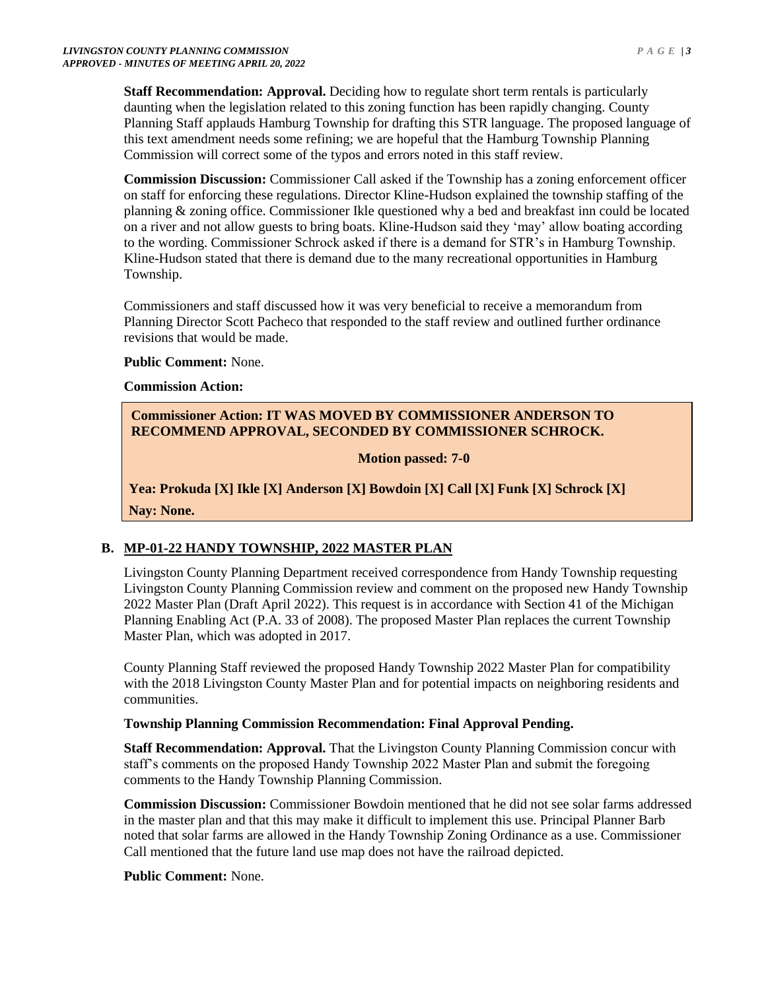**Staff Recommendation: Approval.** Deciding how to regulate short term rentals is particularly daunting when the legislation related to this zoning function has been rapidly changing. County Planning Staff applauds Hamburg Township for drafting this STR language. The proposed language of this text amendment needs some refining; we are hopeful that the Hamburg Township Planning Commission will correct some of the typos and errors noted in this staff review.

**Commission Discussion:** Commissioner Call asked if the Township has a zoning enforcement officer on staff for enforcing these regulations. Director Kline-Hudson explained the township staffing of the planning & zoning office. Commissioner Ikle questioned why a bed and breakfast inn could be located on a river and not allow guests to bring boats. Kline-Hudson said they 'may' allow boating according to the wording. Commissioner Schrock asked if there is a demand for STR's in Hamburg Township. Kline-Hudson stated that there is demand due to the many recreational opportunities in Hamburg Township.

Commissioners and staff discussed how it was very beneficial to receive a memorandum from Planning Director Scott Pacheco that responded to the staff review and outlined further ordinance revisions that would be made.

#### **Public Comment:** None.

#### **Commission Action:**

# **Commissioner Action: IT WAS MOVED BY COMMISSIONER ANDERSON TO RECOMMEND APPROVAL, SECONDED BY COMMISSIONER SCHROCK.**

## **Motion passed: 7-0**

**Yea: Prokuda [X] Ikle [X] Anderson [X] Bowdoin [X] Call [X] Funk [X] Schrock [X] Nay: None.**

## **B. MP-01-22 HANDY TOWNSHIP, 2022 MASTER PLAN**

Livingston County Planning Department received correspondence from Handy Township requesting Livingston County Planning Commission review and comment on the proposed new Handy Township 2022 Master Plan (Draft April 2022). This request is in accordance with Section 41 of the Michigan Planning Enabling Act (P.A. 33 of 2008). The proposed Master Plan replaces the current Township Master Plan, which was adopted in 2017.

County Planning Staff reviewed the proposed Handy Township 2022 Master Plan for compatibility with the 2018 Livingston County Master Plan and for potential impacts on neighboring residents and communities.

## **Township Planning Commission Recommendation: Final Approval Pending.**

**Staff Recommendation: Approval.** That the Livingston County Planning Commission concur with staff's comments on the proposed Handy Township 2022 Master Plan and submit the foregoing comments to the Handy Township Planning Commission.

**Commission Discussion:** Commissioner Bowdoin mentioned that he did not see solar farms addressed in the master plan and that this may make it difficult to implement this use. Principal Planner Barb noted that solar farms are allowed in the Handy Township Zoning Ordinance as a use. Commissioner Call mentioned that the future land use map does not have the railroad depicted.

## **Public Comment:** None.